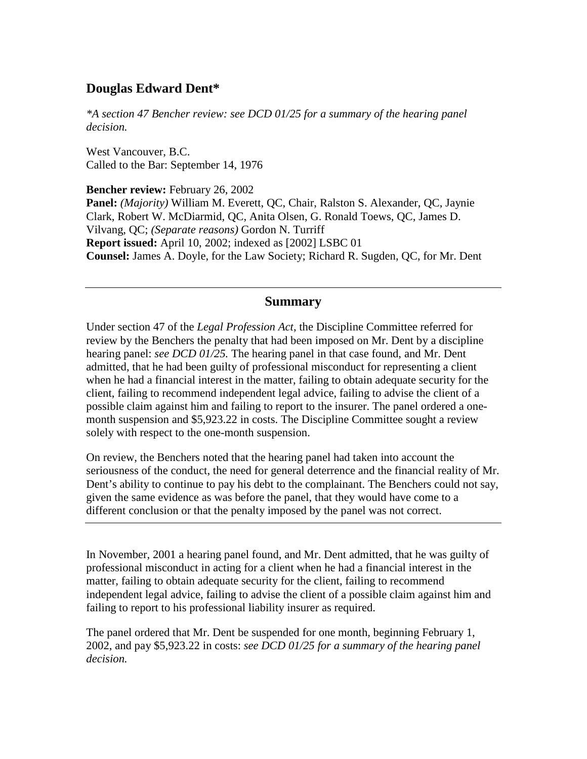## **Douglas Edward Dent\***

*\*A section 47 Bencher review: see DCD 01/25 for a summary of the hearing panel decision.*

West Vancouver, B.C. Called to the Bar: September 14, 1976

**Bencher review:** February 26, 2002 **Panel:** *(Majority)* William M. Everett, QC, Chair, Ralston S. Alexander, QC, Jaynie Clark, Robert W. McDiarmid, QC, Anita Olsen, G. Ronald Toews, QC, James D. Vilvang, QC; *(Separate reasons)* Gordon N. Turriff **Report issued:** April 10, 2002; indexed as [2002] LSBC 01 **Counsel:** James A. Doyle, for the Law Society; Richard R. Sugden, QC, for Mr. Dent

## **Summary**

Under section 47 of the *Legal Profession Act*, the Discipline Committee referred for review by the Benchers the penalty that had been imposed on Mr. Dent by a discipline hearing panel: *see DCD 01/25.* The hearing panel in that case found, and Mr. Dent admitted, that he had been guilty of professional misconduct for representing a client when he had a financial interest in the matter, failing to obtain adequate security for the client, failing to recommend independent legal advice, failing to advise the client of a possible claim against him and failing to report to the insurer. The panel ordered a onemonth suspension and \$5,923.22 in costs. The Discipline Committee sought a review solely with respect to the one-month suspension.

On review, the Benchers noted that the hearing panel had taken into account the seriousness of the conduct, the need for general deterrence and the financial reality of Mr. Dent's ability to continue to pay his debt to the complainant. The Benchers could not say, given the same evidence as was before the panel, that they would have come to a different conclusion or that the penalty imposed by the panel was not correct.

In November, 2001 a hearing panel found, and Mr. Dent admitted, that he was guilty of professional misconduct in acting for a client when he had a financial interest in the matter, failing to obtain adequate security for the client, failing to recommend independent legal advice, failing to advise the client of a possible claim against him and failing to report to his professional liability insurer as required.

The panel ordered that Mr. Dent be suspended for one month, beginning February 1, 2002, and pay \$5,923.22 in costs: *see DCD 01/25 for a summary of the hearing panel decision.*